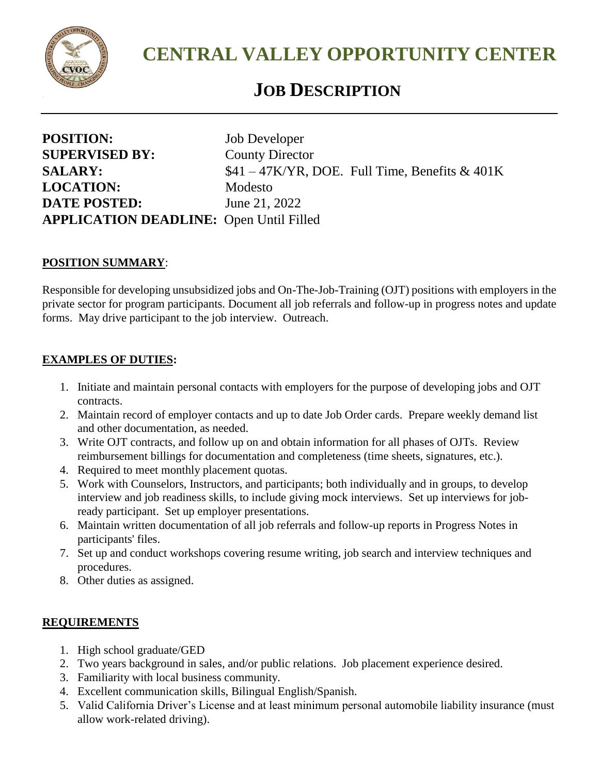

**CENTRAL VALLEY OPPORTUNITY CENTER**

## *<sup>J</sup>* **JOB DESCRIPTION**

| <b>POSITION:</b>                               | Job Developer                                    |
|------------------------------------------------|--------------------------------------------------|
| <b>SUPERVISED BY:</b>                          | <b>County Director</b>                           |
| <b>SALARY:</b>                                 | $$41 - 47$ K/YR, DOE. Full Time, Benefits & 401K |
| <b>LOCATION:</b>                               | Modesto                                          |
| <b>DATE POSTED:</b>                            | June 21, 2022                                    |
| <b>APPLICATION DEADLINE:</b> Open Until Filled |                                                  |

## **POSITION SUMMARY**:

Responsible for developing unsubsidized jobs and On-The-Job-Training (OJT) positions with employers in the private sector for program participants. Document all job referrals and follow-up in progress notes and update forms. May drive participant to the job interview. Outreach.

## **EXAMPLES OF DUTIES:**

- 1. Initiate and maintain personal contacts with employers for the purpose of developing jobs and OJT contracts.
- 2. Maintain record of employer contacts and up to date Job Order cards. Prepare weekly demand list and other documentation, as needed.
- 3. Write OJT contracts, and follow up on and obtain information for all phases of OJTs. Review reimbursement billings for documentation and completeness (time sheets, signatures, etc.).
- 4. Required to meet monthly placement quotas.
- 5. Work with Counselors, Instructors, and participants; both individually and in groups, to develop interview and job readiness skills, to include giving mock interviews. Set up interviews for jobready participant. Set up employer presentations.
- 6. Maintain written documentation of all job referrals and follow-up reports in Progress Notes in participants' files.
- 7. Set up and conduct workshops covering resume writing, job search and interview techniques and procedures.
- 8. Other duties as assigned.

## **REQUIREMENTS**

- 1. High school graduate/GED
- 2. Two years background in sales, and/or public relations. Job placement experience desired.
- 3. Familiarity with local business community.
- 4. Excellent communication skills, Bilingual English/Spanish.
- 5. Valid California Driver's License and at least minimum personal automobile liability insurance (must allow work-related driving).